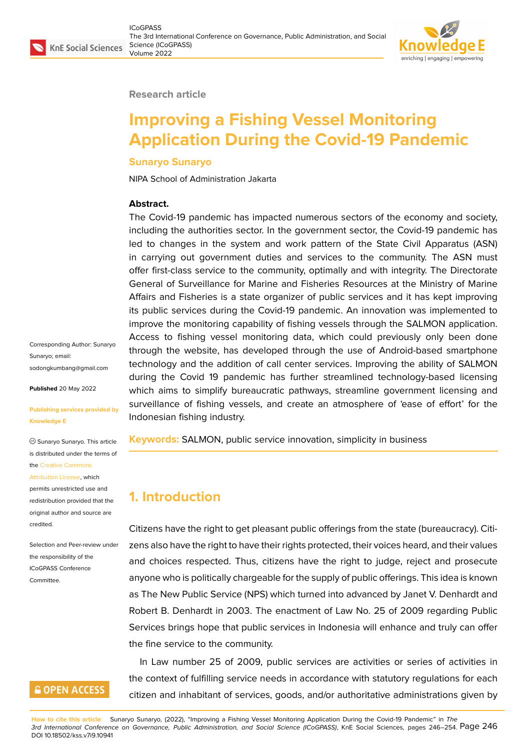

#### **Research article**

# **Improving a Fishing Vessel Monitoring Application During the Covid-19 Pandemic**

#### **Sunaryo Sunaryo**

NIPA School of Administration Jakarta

#### **Abstract.**

The Covid-19 pandemic has impacted numerous sectors of the economy and society, including the authorities sector. In the government sector, the Covid-19 pandemic has led to changes in the system and work pattern of the State Civil Apparatus (ASN) in carrying out government duties and services to the community. The ASN must offer first-class service to the community, optimally and with integrity. The Directorate General of Surveillance for Marine and Fisheries Resources at the Ministry of Marine Affairs and Fisheries is a state organizer of public services and it has kept improving its public services during the Covid-19 pandemic. An innovation was implemented to improve the monitoring capability of fishing vessels through the SALMON application. Access to fishing vessel monitoring data, which could previously only been done through the website, has developed through the use of Android-based smartphone technology and the addition of call center services. Improving the ability of SALMON during the Covid 19 pandemic has further streamlined technology-based licensing which aims to simplify bureaucratic pathways, streamline government licensing and surveillance of fishing vessels, and create an atmosphere of 'ease of effort' for the Indonesian fishing industry.

**Keywords:** SALMON, public service innovation, simplicity in business

### **1. Introduction**

Citizens have the right to get pleasant public offerings from the state (bureaucracy). Citizens also have the right to have their rights protected, their voices heard, and their values and choices respected. Thus, citizens have the right to judge, reject and prosecute anyone who is politically chargeable for the supply of public offerings. This idea is known as The New Public Service (NPS) which turned into advanced by Janet V. Denhardt and Robert B. Denhardt in 2003. The enactment of Law No. 25 of 2009 regarding Public Services brings hope that public services in Indonesia will enhance and truly can offer the fine service to the community.

In Law number 25 of 2009, public services are activities or series of activities in the context of fulfilling service needs in accordance with statutory regulations for each citizen and inhabitant of services, goods, and/or authoritative administrations given by

**How to cite this article**: Sunaryo Sunaryo, (2022), "Improving a Fishing Vessel Monitoring Application During the Covid-19 Pandemic" in *The 3rd International Conference on Governance, Public Administration, and Social Science (ICoGPASS)*, KnE Social Sciences, pages 246–254. Page 246 DOI 10.18502/kss.v7i9.10941

Corresponding Author: Sunaryo Sunaryo; email: sodongkumbang@gmail.com

**Published** 20 May 2022

#### **[Publishing services provided](mailto:sodongkumbang@gmail.com) by Knowledge E**

Sunaryo Sunaryo. This article is distributed under the terms of the Creative Commons

#### Attribution License, which

permits unrestricted use and redistribution provided that the orig[inal author and sou](https://creativecommons.org/licenses/by/4.0/)rce are [credited.](https://creativecommons.org/licenses/by/4.0/)

Selection and Peer-review under the responsibility of the ICoGPASS Conference **Committee** 

### **GOPEN ACCESS**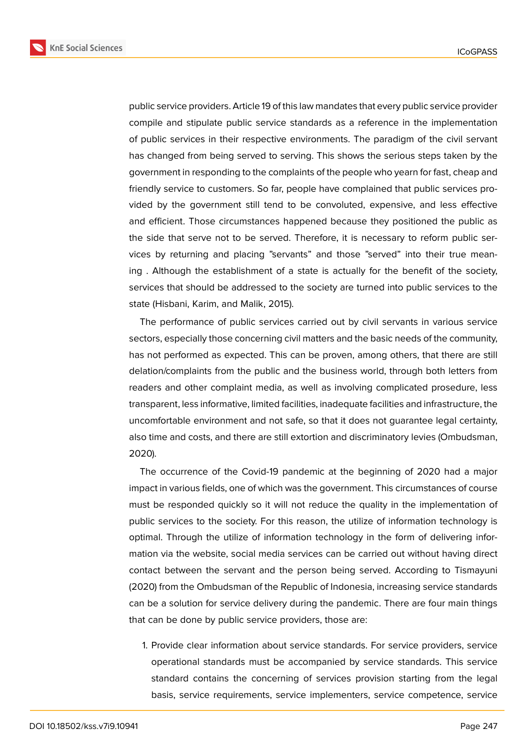**KnE Social Sciences** 



public service providers. Article 19 of this law mandates that every public service provider compile and stipulate public service standards as a reference in the implementation of public services in their respective environments. The paradigm of the civil servant has changed from being served to serving. This shows the serious steps taken by the government in responding to the complaints of the people who yearn for fast, cheap and friendly service to customers. So far, people have complained that public services provided by the government still tend to be convoluted, expensive, and less effective and efficient. Those circumstances happened because they positioned the public as the side that serve not to be served. Therefore, it is necessary to reform public services by returning and placing "servants" and those "served" into their true meaning . Although the establishment of a state is actually for the benefit of the society, services that should be addressed to the society are turned into public services to the state (Hisbani, Karim, and Malik, 2015).

The performance of public services carried out by civil servants in various service sectors, especially those concerning civil matters and the basic needs of the community, has not performed as expected. This can be proven, among others, that there are still delation/complaints from the public and the business world, through both letters from readers and other complaint media, as well as involving complicated prosedure, less transparent, less informative, limited facilities, inadequate facilities and infrastructure, the uncomfortable environment and not safe, so that it does not guarantee legal certainty, also time and costs, and there are still extortion and discriminatory levies (Ombudsman, 2020).

The occurrence of the Covid-19 pandemic at the beginning of 2020 had a major impact in various fields, one of which was the government. This circumstances of course must be responded quickly so it will not reduce the quality in the implementation of public services to the society. For this reason, the utilize of information technology is optimal. Through the utilize of information technology in the form of delivering information via the website, social media services can be carried out without having direct contact between the servant and the person being served. According to Tismayuni (2020) from the Ombudsman of the Republic of Indonesia, increasing service standards can be a solution for service delivery during the pandemic. There are four main things that can be done by public service providers, those are:

1. Provide clear information about service standards. For service providers, service operational standards must be accompanied by service standards. This service standard contains the concerning of services provision starting from the legal basis, service requirements, service implementers, service competence, service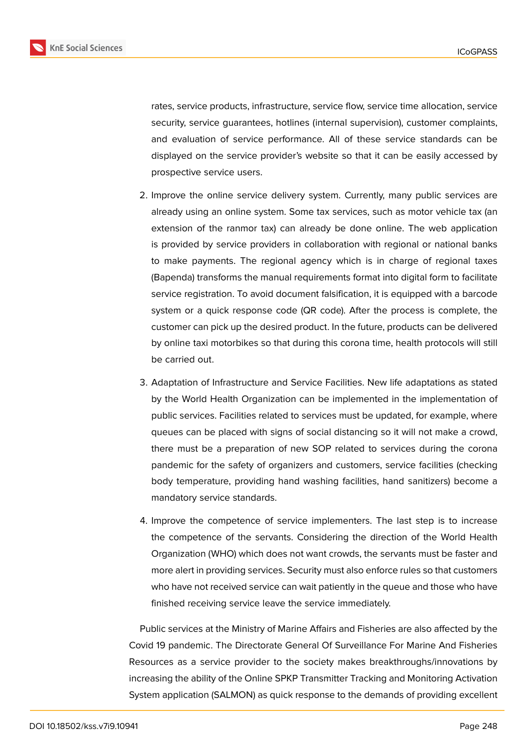

rates, service products, infrastructure, service flow, service time allocation, service security, service quarantees, hotlines (internal supervision), customer complaints, and evaluation of service performance. All of these service standards can be displayed on the service provider's website so that it can be easily accessed by prospective service users.

- 2. Improve the online service delivery system. Currently, many public services are already using an online system. Some tax services, such as motor vehicle tax (an extension of the ranmor tax) can already be done online. The web application is provided by service providers in collaboration with regional or national banks to make payments. The regional agency which is in charge of regional taxes (Bapenda) transforms the manual requirements format into digital form to facilitate service registration. To avoid document falsification, it is equipped with a barcode system or a quick response code (QR code). After the process is complete, the customer can pick up the desired product. In the future, products can be delivered by online taxi motorbikes so that during this corona time, health protocols will still be carried out.
- 3. Adaptation of Infrastructure and Service Facilities. New life adaptations as stated by the World Health Organization can be implemented in the implementation of public services. Facilities related to services must be updated, for example, where queues can be placed with signs of social distancing so it will not make a crowd, there must be a preparation of new SOP related to services during the corona pandemic for the safety of organizers and customers, service facilities (checking body temperature, providing hand washing facilities, hand sanitizers) become a mandatory service standards.
- 4. Improve the competence of service implementers. The last step is to increase the competence of the servants. Considering the direction of the World Health Organization (WHO) which does not want crowds, the servants must be faster and more alert in providing services. Security must also enforce rules so that customers who have not received service can wait patiently in the queue and those who have finished receiving service leave the service immediately.

Public services at the Ministry of Marine Affairs and Fisheries are also affected by the Covid 19 pandemic. The Directorate General Of Surveillance For Marine And Fisheries Resources as a service provider to the society makes breakthroughs/innovations by increasing the ability of the Online SPKP Transmitter Tracking and Monitoring Activation System application (SALMON) as quick response to the demands of providing excellent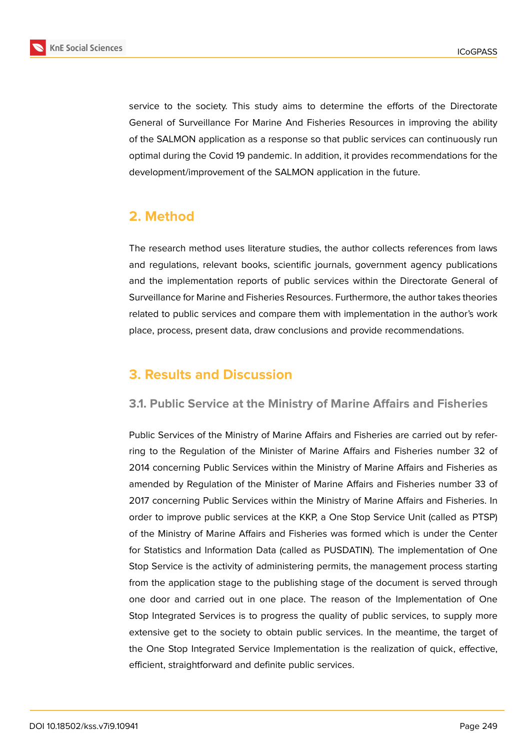

service to the society. This study aims to determine the efforts of the Directorate General of Surveillance For Marine And Fisheries Resources in improving the ability of the SALMON application as a response so that public services can continuously run optimal during the Covid 19 pandemic. In addition, it provides recommendations for the development/improvement of the SALMON application in the future.

## **2. Method**

The research method uses literature studies, the author collects references from laws and regulations, relevant books, scientific journals, government agency publications and the implementation reports of public services within the Directorate General of Surveillance for Marine and Fisheries Resources. Furthermore, the author takes theories related to public services and compare them with implementation in the author's work place, process, present data, draw conclusions and provide recommendations.

## **3. Results and Discussion**

### **3.1. Public Service at the Ministry of Marine Affairs and Fisheries**

Public Services of the Ministry of Marine Affairs and Fisheries are carried out by referring to the Regulation of the Minister of Marine Affairs and Fisheries number 32 of 2014 concerning Public Services within the Ministry of Marine Affairs and Fisheries as amended by Regulation of the Minister of Marine Affairs and Fisheries number 33 of 2017 concerning Public Services within the Ministry of Marine Affairs and Fisheries. In order to improve public services at the KKP, a One Stop Service Unit (called as PTSP) of the Ministry of Marine Affairs and Fisheries was formed which is under the Center for Statistics and Information Data (called as PUSDATIN). The implementation of One Stop Service is the activity of administering permits, the management process starting from the application stage to the publishing stage of the document is served through one door and carried out in one place. The reason of the Implementation of One Stop Integrated Services is to progress the quality of public services, to supply more extensive get to the society to obtain public services. In the meantime, the target of the One Stop Integrated Service Implementation is the realization of quick, effective, efficient, straightforward and definite public services.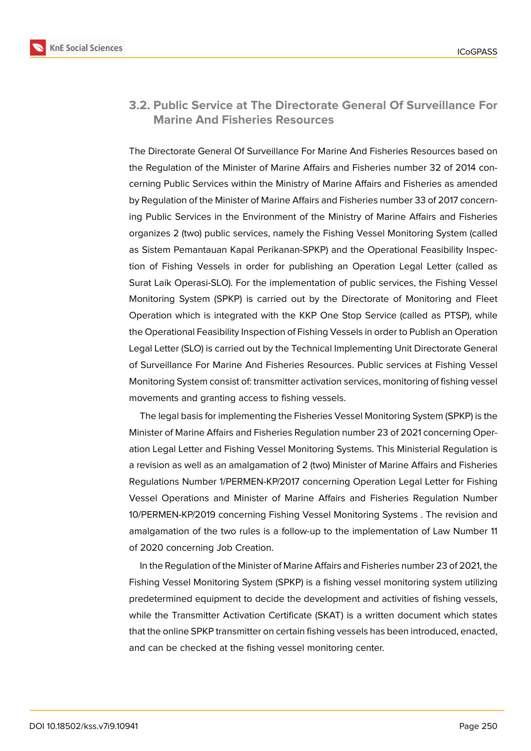

### **3.2. Public Service at The Directorate General Of Surveillance For Marine And Fisheries Resources**

The Directorate General Of Surveillance For Marine And Fisheries Resources based on the Regulation of the Minister of Marine Affairs and Fisheries number 32 of 2014 concerning Public Services within the Ministry of Marine Affairs and Fisheries as amended by Regulation of the Minister of Marine Affairs and Fisheries number 33 of 2017 concerning Public Services in the Environment of the Ministry of Marine Affairs and Fisheries organizes 2 (two) public services, namely the Fishing Vessel Monitoring System (called as Sistem Pemantauan Kapal Perikanan-SPKP) and the Operational Feasibility Inspection of Fishing Vessels in order for publishing an Operation Legal Letter (called as Surat Laik Operasi-SLO). For the implementation of public services, the Fishing Vessel Monitoring System (SPKP) is carried out by the Directorate of Monitoring and Fleet Operation which is integrated with the KKP One Stop Service (called as PTSP), while the Operational Feasibility Inspection of Fishing Vessels in order to Publish an Operation Legal Letter (SLO) is carried out by the Technical Implementing Unit Directorate General of Surveillance For Marine And Fisheries Resources. Public services at Fishing Vessel Monitoring System consist of: transmitter activation services, monitoring of fishing vessel movements and granting access to fishing vessels.

The legal basis for implementing the Fisheries Vessel Monitoring System (SPKP) is the Minister of Marine Affairs and Fisheries Regulation number 23 of 2021 concerning Operation Legal Letter and Fishing Vessel Monitoring Systems. This Ministerial Regulation is a revision as well as an amalgamation of 2 (two) Minister of Marine Affairs and Fisheries Regulations Number 1/PERMEN-KP/2017 concerning Operation Legal Letter for Fishing Vessel Operations and Minister of Marine Affairs and Fisheries Regulation Number 10/PERMEN-KP/2019 concerning Fishing Vessel Monitoring Systems . The revision and amalgamation of the two rules is a follow-up to the implementation of Law Number 11 of 2020 concerning Job Creation.

In the Regulation of the Minister of Marine Affairs and Fisheries number 23 of 2021, the Fishing Vessel Monitoring System (SPKP) is a fishing vessel monitoring system utilizing predetermined equipment to decide the development and activities of fishing vessels, while the Transmitter Activation Certificate (SKAT) is a written document which states that the online SPKP transmitter on certain fishing vessels has been introduced, enacted, and can be checked at the fishing vessel monitoring center.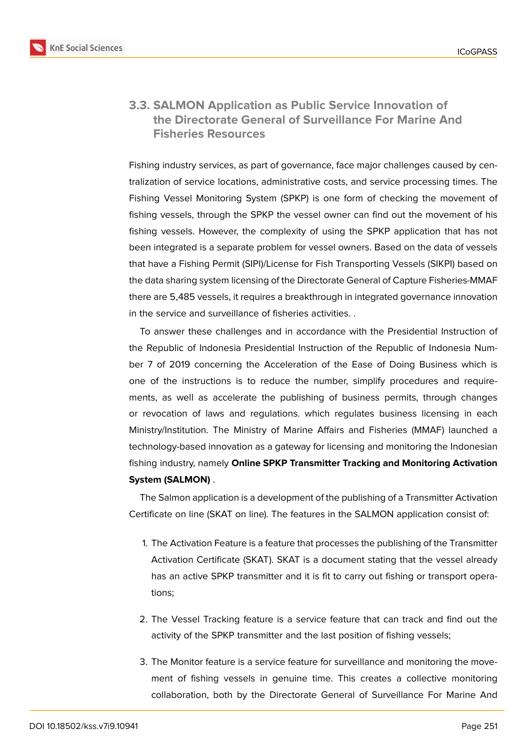

### **3.3. SALMON Application as Public Service Innovation of the Directorate General of Surveillance For Marine And Fisheries Resources**

Fishing industry services, as part of governance, face major challenges caused by centralization of service locations, administrative costs, and service processing times. The Fishing Vessel Monitoring System (SPKP) is one form of checking the movement of fishing vessels, through the SPKP the vessel owner can find out the movement of his fishing vessels. However, the complexity of using the SPKP application that has not been integrated is a separate problem for vessel owners. Based on the data of vessels that have a Fishing Permit (SIPI)/License for Fish Transporting Vessels (SIKPI) based on the data sharing system licensing of the Directorate General of Capture Fisheries-MMAF there are 5,485 vessels, it requires a breakthrough in integrated governance innovation in the service and surveillance of fisheries activities. .

To answer these challenges and in accordance with the Presidential Instruction of the Republic of Indonesia Presidential Instruction of the Republic of Indonesia Number 7 of 2019 concerning the Acceleration of the Ease of Doing Business which is one of the instructions is to reduce the number, simplify procedures and requirements, as well as accelerate the publishing of business permits, through changes or revocation of laws and regulations. which regulates business licensing in each Ministry/Institution. The Ministry of Marine Affairs and Fisheries (MMAF) launched a technology-based innovation as a gateway for licensing and monitoring the Indonesian fishing industry, namely **Online SPKP Transmitter Tracking and Monitoring Activation System (SALMON)** .

The Salmon application is a development of the publishing of a Transmitter Activation Certificate on line (SKAT on line). The features in the SALMON application consist of:

- 1. The Activation Feature is a feature that processes the publishing of the Transmitter Activation Certificate (SKAT). SKAT is a document stating that the vessel already has an active SPKP transmitter and it is fit to carry out fishing or transport operations;
- 2. The Vessel Tracking feature is a service feature that can track and find out the activity of the SPKP transmitter and the last position of fishing vessels;
- 3. The Monitor feature is a service feature for surveillance and monitoring the movement of fishing vessels in genuine time. This creates a collective monitoring collaboration, both by the Directorate General of Surveillance For Marine And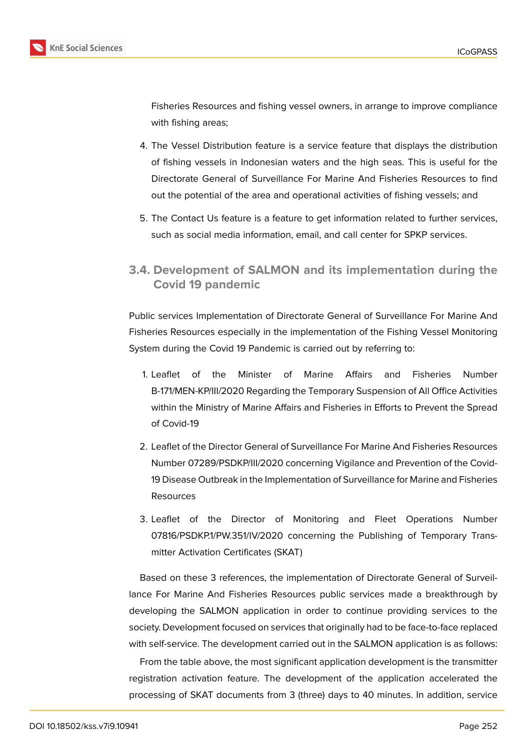

Fisheries Resources and fishing vessel owners, in arrange to improve compliance with fishing areas;

- 4. The Vessel Distribution feature is a service feature that displays the distribution of fishing vessels in Indonesian waters and the high seas. This is useful for the Directorate General of Surveillance For Marine And Fisheries Resources to find out the potential of the area and operational activities of fishing vessels; and
- 5. The Contact Us feature is a feature to get information related to further services, such as social media information, email, and call center for SPKP services.
- **3.4. Development of SALMON and its implementation during the Covid 19 pandemic**

Public services Implementation of Directorate General of Surveillance For Marine And Fisheries Resources especially in the implementation of the Fishing Vessel Monitoring System during the Covid 19 Pandemic is carried out by referring to:

- 1. Leaflet of the Minister of Marine Affairs and Fisheries Number B-171/MEN-KP/III/2020 Regarding the Temporary Suspension of All Office Activities within the Ministry of Marine Affairs and Fisheries in Efforts to Prevent the Spread of Covid-19
- 2. Leaflet of the Director General of Surveillance For Marine And Fisheries Resources Number 07289/PSDKP/III/2020 concerning Vigilance and Prevention of the Covid-19 Disease Outbreak in the Implementation of Surveillance for Marine and Fisheries Resources
- 3. Leaflet of the Director of Monitoring and Fleet Operations Number 07816/PSDKP.1/PW.351/IV/2020 concerning the Publishing of Temporary Transmitter Activation Certificates (SKAT)

Based on these 3 references, the implementation of Directorate General of Surveillance For Marine And Fisheries Resources public services made a breakthrough by developing the SALMON application in order to continue providing services to the society. Development focused on services that originally had to be face-to-face replaced with self-service. The development carried out in the SALMON application is as follows:

From the table above, the most significant application development is the transmitter registration activation feature. The development of the application accelerated the processing of SKAT documents from 3 (three) days to 40 minutes. In addition, service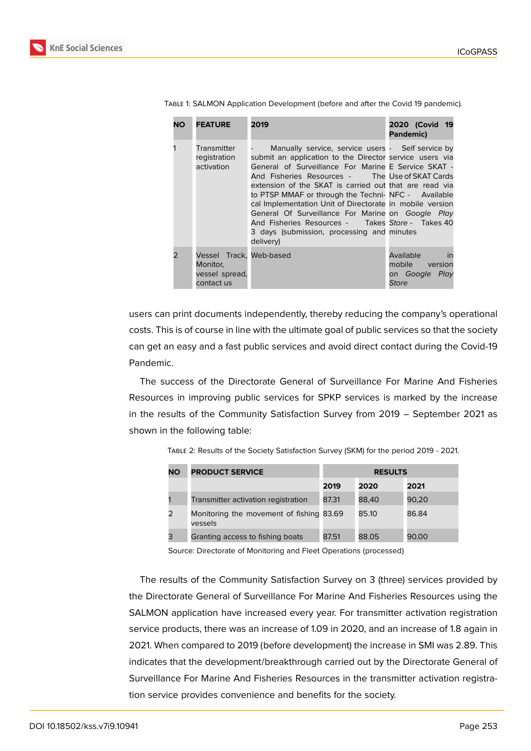| <b>NO</b>     | <b>FEATURE</b>                                                      | 2019                                                                                                                                                                                                                                                                                                                                                                                                                                                                                                                                                                   | 2020 (Covid 19<br>Pandemic)                                         |
|---------------|---------------------------------------------------------------------|------------------------------------------------------------------------------------------------------------------------------------------------------------------------------------------------------------------------------------------------------------------------------------------------------------------------------------------------------------------------------------------------------------------------------------------------------------------------------------------------------------------------------------------------------------------------|---------------------------------------------------------------------|
|               | Transmitter<br>registration<br>activation                           | Manually service, service users - Self service by<br>submit an application to the Director service users via<br>General of Surveillance For Marine E Service SKAT -<br>And Fisheries Resources - The Use of SKAT Cards<br>extension of the SKAT is carried out that are read via<br>to PTSP MMAF or through the Techni-NFC - Available<br>cal Implementation Unit of Directorate in mobile version<br>General Of Surveillance For Marine on Google Play<br>And Fisheries Resources - Takes Store - Takes 40<br>3 days (submission, processing and minutes<br>delivery) |                                                                     |
| $\mathcal{P}$ | Vessel Track, Web-based<br>Monitor,<br>vessel spread,<br>contact us |                                                                                                                                                                                                                                                                                                                                                                                                                                                                                                                                                                        | Available<br>in<br>mobile version<br>on Google Play<br><b>Store</b> |

Table 1: SALMON Application Development (before and after the Covid 19 pandemic).

users can print documents independently, thereby reducing the company's operational costs. This is of course in line with the ultimate goal of public services so that the society can get an easy and a fast public services and avoid direct contact during the Covid-19 Pandemic.

The success of the Directorate General of Surveillance For Marine And Fisheries Resources in improving public services for SPKP services is marked by the increase in the results of the Community Satisfaction Survey from 2019 – September 2021 as shown in the following table:

| <b>NO</b> | <b>PRODUCT SERVICE</b>                              | <b>RESULTS</b> |       |       |
|-----------|-----------------------------------------------------|----------------|-------|-------|
|           |                                                     | 2019           | 2020  | 2021  |
|           | Transmitter activation registration                 | 87.31          | 88.40 | 90,20 |
|           | Monitoring the movement of fishing 83.69<br>vessels |                | 85.10 | 86.84 |
|           | Granting access to fishing boats                    | 87.51          | 88.05 | 90.00 |

Table 2: Results of the Society Satisfaction Survey (SKM) for the period 2019 - 2021.

Source: Directorate of Monitoring and Fleet Operations (processed)

The results of the Community Satisfaction Survey on 3 (three) services provided by the Directorate General of Surveillance For Marine And Fisheries Resources using the SALMON application have increased every year. For transmitter activation registration service products, there was an increase of 1.09 in 2020, and an increase of 1.8 again in 2021. When compared to 2019 (before development) the increase in SMI was 2.89. This indicates that the development/breakthrough carried out by the Directorate General of Surveillance For Marine And Fisheries Resources in the transmitter activation registration service provides convenience and benefits for the society.